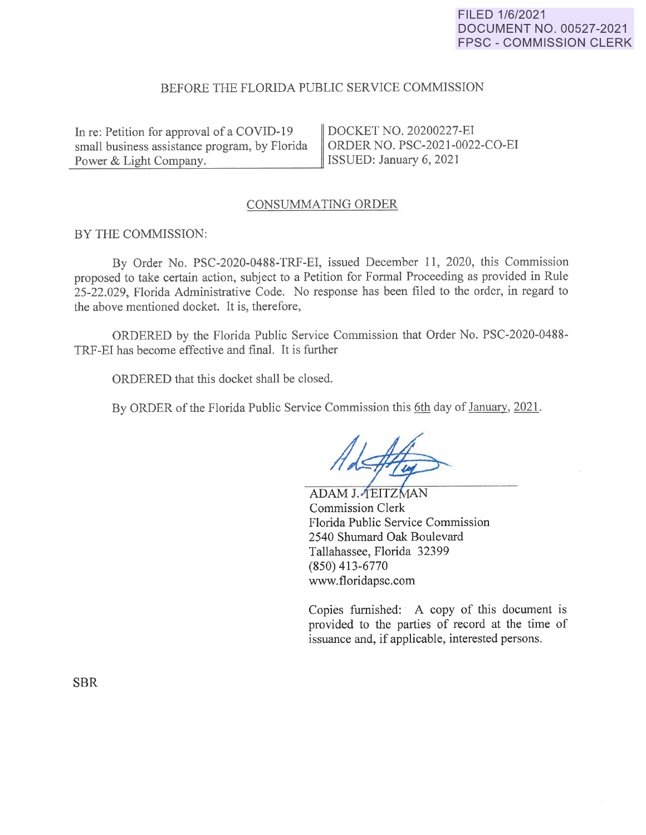# FILED 1/6/2021 **DOCUMENT NO. 00527-2021 FPSC - COMMISSION CLERK**

## BEFORE THE FLORIDA PUBLIC SERVICE COMMISSION

In re: Petition for approval of a COVID-19 | DOCKET NO. 20200227-EI small business assistance program, by Florida  $\parallel$  ORDER NO. PSC-2021-0022-CO-EI Power & Light Company. ISSUED: January 6, 2021 -------=--~~-------~

## CONSUMMATING ORDER

#### BY THE COMMISSION:

By Order No. PSC-2020-0488-TRF-EI, issued December 11, 2020, this Commission proposed to take certain action, subject to a Petition for Formal Proceeding as provided in Rule 25-22.029, Florida Administrative Code. No response has been filed to the order, in regard to the above mentioned docket. It is, therefore,

ORDERED by the Florida Public Service Commission that Order No. PSC-2020-0488- TRF-EI has become effective and final. It is further

ORDERED that this docket shall be closed.

By ORDER of the Florida Public Service Commission this 6th day of January, 2021.

ADAM J. TEITZMAN Commission Clerk Florida Public Service Commission 2540 Shumard Oak Boulevard Tallahassee, Florida 32399 (850) 413-6770 www.floridapsc.com

Copies furnished: A copy of this document is provided to the parties of record at the time of issuance and, if applicable, interested persons.